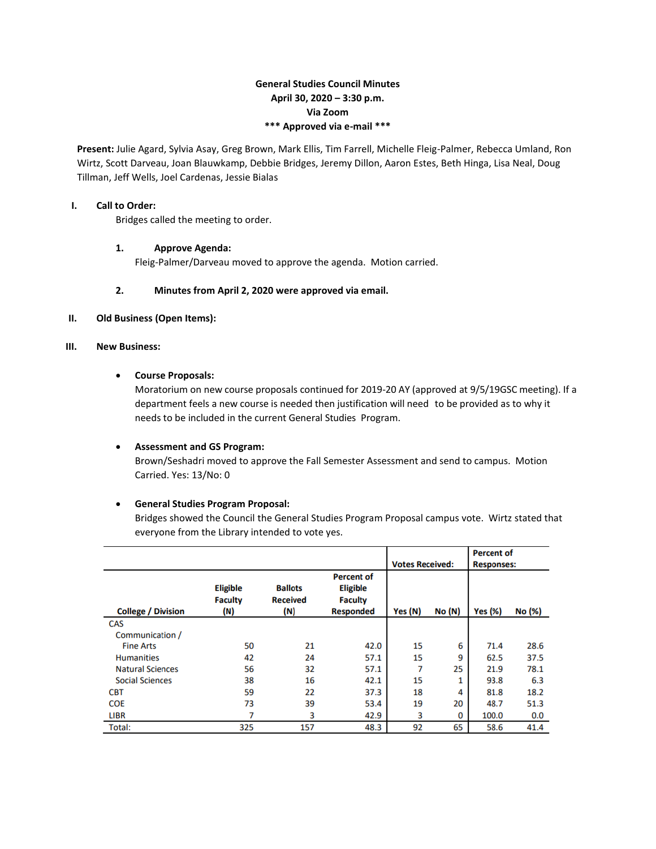# **General Studies Council Minutes April 30, 2020 – 3:30 p.m. Via Zoom \*\*\* Approved via e-mail \*\*\***

**Present:** Julie Agard, Sylvia Asay, Greg Brown, Mark Ellis, Tim Farrell, Michelle Fleig-Palmer, Rebecca Umland, Ron Wirtz, Scott Darveau, Joan Blauwkamp, Debbie Bridges, Jeremy Dillon, Aaron Estes, Beth Hinga, Lisa Neal, Doug Tillman, Jeff Wells, Joel Cardenas, Jessie Bialas

## **I. Call to Order:**

Bridges called the meeting to order.

## **1. Approve Agenda:**

Fleig-Palmer/Darveau moved to approve the agenda. Motion carried.

# **2. Minutes from April 2, 2020 were approved via email.**

#### **II. Old Business (Open Items):**

## **III. New Business:**

## **Course Proposals:**

Moratorium on new course proposals continued for 2019-20 AY (approved at 9/5/19GSC meeting). If a department feels a new course is needed then justification will need to be provided as to why it needs to be included in the current General Studies Program.

#### **Assessment and GS Program:**

Brown/Seshadri moved to approve the Fall Semester Assessment and send to campus. Motion Carried. Yes: 13/No: 0

## **General Studies Program Proposal:**

Bridges showed the Council the General Studies Program Proposal campus vote. Wirtz stated that everyone from the Library intended to vote yes.

|                           |                                          |                                          |                                                                            | <b>Votes Received:</b> |        | <b>Percent of</b><br><b>Responses:</b> |        |
|---------------------------|------------------------------------------|------------------------------------------|----------------------------------------------------------------------------|------------------------|--------|----------------------------------------|--------|
| <b>College / Division</b> | <b>Eligible</b><br><b>Faculty</b><br>(N) | <b>Ballots</b><br><b>Received</b><br>(N) | <b>Percent of</b><br><b>Eligible</b><br><b>Faculty</b><br><b>Responded</b> | Yes (N)                | No (N) | <b>Yes (%)</b>                         | No (%) |
| CAS                       |                                          |                                          |                                                                            |                        |        |                                        |        |
| Communication /           |                                          |                                          |                                                                            |                        |        |                                        |        |
| <b>Fine Arts</b>          | 50                                       | 21                                       | 42.0                                                                       | 15                     | 6      | 71.4                                   | 28.6   |
| <b>Humanities</b>         | 42                                       | 24                                       | 57.1                                                                       | 15                     | 9      | 62.5                                   | 37.5   |
| <b>Natural Sciences</b>   | 56                                       | 32                                       | 57.1                                                                       | 7                      | 25     | 21.9                                   | 78.1   |
| <b>Social Sciences</b>    | 38                                       | 16                                       | 42.1                                                                       | 15                     |        | 93.8                                   | 6.3    |
| <b>CBT</b>                | 59                                       | 22                                       | 37.3                                                                       | 18                     | 4      | 81.8                                   | 18.2   |
| <b>COE</b>                | 73                                       | 39                                       | 53.4                                                                       | 19                     | 20     | 48.7                                   | 51.3   |
| <b>LIBR</b>               | 7                                        | 3                                        | 42.9                                                                       | 3                      | 0      | 100.0                                  | 0.0    |
| Total:                    | 325                                      | 157                                      | 48.3                                                                       | 92                     | 65     | 58.6                                   | 41.4   |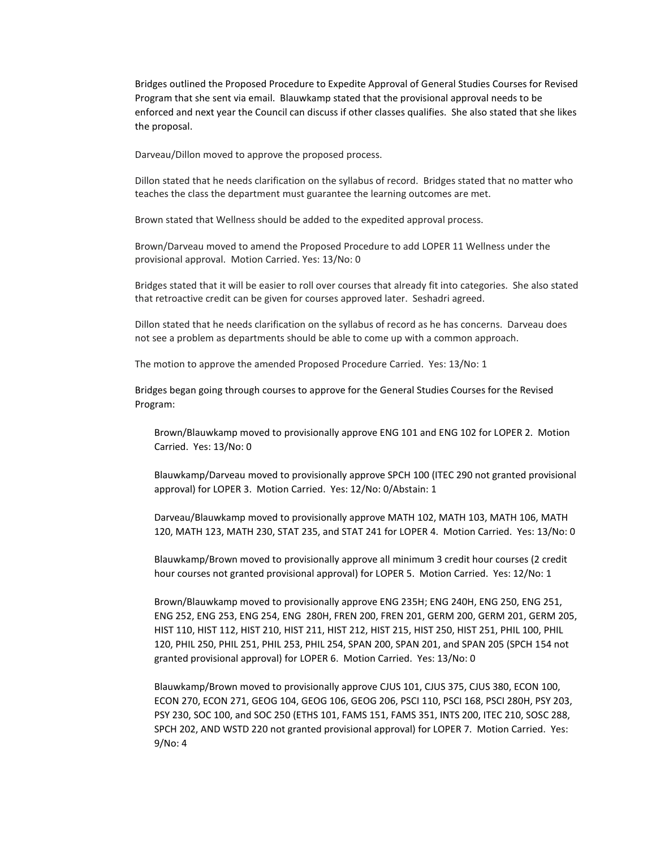Bridges outlined the Proposed Procedure to Expedite Approval of General Studies Courses for Revised Program that she sent via email. Blauwkamp stated that the provisional approval needs to be enforced and next year the Council can discuss if other classes qualifies. She also stated that she likes the proposal.

Darveau/Dillon moved to approve the proposed process.

Dillon stated that he needs clarification on the syllabus of record. Bridges stated that no matter who teaches the class the department must guarantee the learning outcomes are met.

Brown stated that Wellness should be added to the expedited approval process.

Brown/Darveau moved to amend the Proposed Procedure to add LOPER 11 Wellness under the provisional approval. Motion Carried. Yes: 13/No: 0

Bridges stated that it will be easier to roll over courses that already fit into categories. She also stated that retroactive credit can be given for courses approved later. Seshadri agreed.

Dillon stated that he needs clarification on the syllabus of record as he has concerns. Darveau does not see a problem as departments should be able to come up with a common approach.

The motion to approve the amended Proposed Procedure Carried. Yes: 13/No: 1

Bridges began going through courses to approve for the General Studies Courses for the Revised Program:

Brown/Blauwkamp moved to provisionally approve ENG 101 and ENG 102 for LOPER 2. Motion Carried. Yes: 13/No: 0

Blauwkamp/Darveau moved to provisionally approve SPCH 100 (ITEC 290 not granted provisional approval) for LOPER 3. Motion Carried. Yes: 12/No: 0/Abstain: 1

Darveau/Blauwkamp moved to provisionally approve MATH 102, MATH 103, MATH 106, MATH 120, MATH 123, MATH 230, STAT 235, and STAT 241 for LOPER 4. Motion Carried. Yes: 13/No: 0

Blauwkamp/Brown moved to provisionally approve all minimum 3 credit hour courses (2 credit hour courses not granted provisional approval) for LOPER 5. Motion Carried. Yes: 12/No: 1

Brown/Blauwkamp moved to provisionally approve ENG 235H; ENG 240H, ENG 250, ENG 251, ENG 252, ENG 253, ENG 254, ENG 280H, FREN 200, FREN 201, GERM 200, GERM 201, GERM 205, HIST 110, HIST 112, HIST 210, HIST 211, HIST 212, HIST 215, HIST 250, HIST 251, PHIL 100, PHIL 120, PHIL 250, PHIL 251, PHIL 253, PHIL 254, SPAN 200, SPAN 201, and SPAN 205 (SPCH 154 not granted provisional approval) for LOPER 6. Motion Carried. Yes: 13/No: 0

Blauwkamp/Brown moved to provisionally approve CJUS 101, CJUS 375, CJUS 380, ECON 100, ECON 270, ECON 271, GEOG 104, GEOG 106, GEOG 206, PSCI 110, PSCI 168, PSCI 280H, PSY 203, PSY 230, SOC 100, and SOC 250 (ETHS 101, FAMS 151, FAMS 351, INTS 200, ITEC 210, SOSC 288, SPCH 202, AND WSTD 220 not granted provisional approval) for LOPER 7. Motion Carried. Yes: 9/No: 4